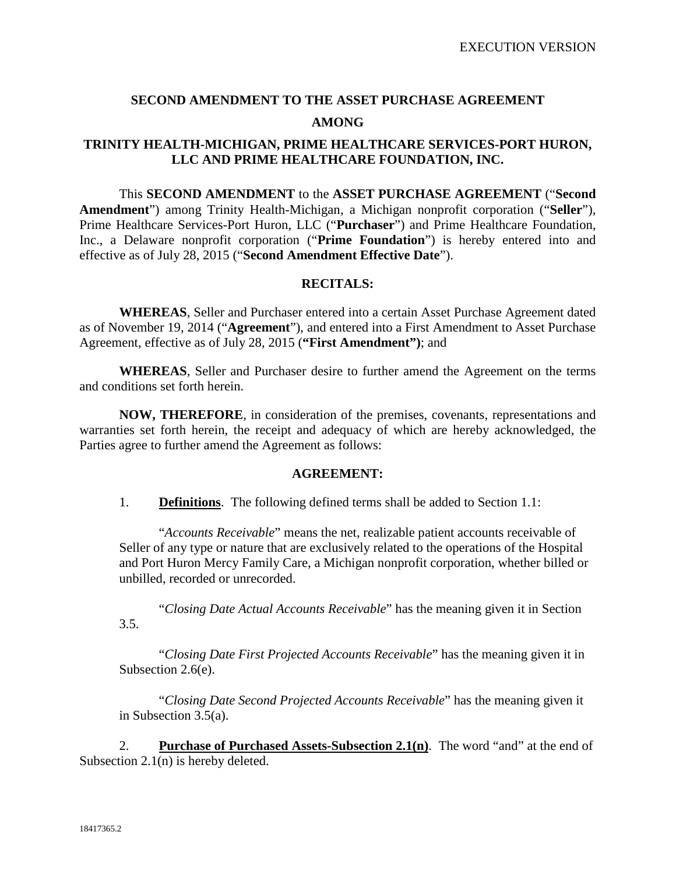# **SECOND AMENDMENT TO THE ASSET PURCHASE AGREEMENT AMONG**

## **TRINITY HEALTH-MICHIGAN, PRIME HEALTHCARE SERVICES-PORT HURON, LLC AND PRIME HEALTHCARE FOUNDATION, INC.**

This **SECOND AMENDMENT** to the **ASSET PURCHASE AGREEMENT** ("**Second Amendment**") among Trinity Health-Michigan, a Michigan nonprofit corporation ("**Seller**"), Prime Healthcare Services-Port Huron, LLC ("**Purchaser**") and Prime Healthcare Foundation, Inc., a Delaware nonprofit corporation ("**Prime Foundation**") is hereby entered into and effective as of July 28, 2015 ("**Second Amendment Effective Date**").

#### **RECITALS:**

**WHEREAS**, Seller and Purchaser entered into a certain Asset Purchase Agreement dated as of November 19, 2014 ("**Agreement**"), and entered into a First Amendment to Asset Purchase Agreement, effective as of July 28, 2015 (**"First Amendment")**; and

**WHEREAS**, Seller and Purchaser desire to further amend the Agreement on the terms and conditions set forth herein.

**NOW, THEREFORE**, in consideration of the premises, covenants, representations and warranties set forth herein, the receipt and adequacy of which are hereby acknowledged, the Parties agree to further amend the Agreement as follows:

#### **AGREEMENT:**

1. **Definitions**. The following defined terms shall be added to Section 1.1:

"*Accounts Receivable*" means the net, realizable patient accounts receivable of Seller of any type or nature that are exclusively related to the operations of the Hospital and Port Huron Mercy Family Care, a Michigan nonprofit corporation, whether billed or unbilled, recorded or unrecorded.

"*Closing Date Actual Accounts Receivable*" has the meaning given it in Section 3.5.

"*Closing Date First Projected Accounts Receivable*" has the meaning given it in Subsection 2.6(e).

"*Closing Date Second Projected Accounts Receivable*" has the meaning given it in Subsection 3.5(a).

2. **Purchase of Purchased Assets-Subsection 2.1(n)**. The word "and" at the end of Subsection 2.1(n) is hereby deleted.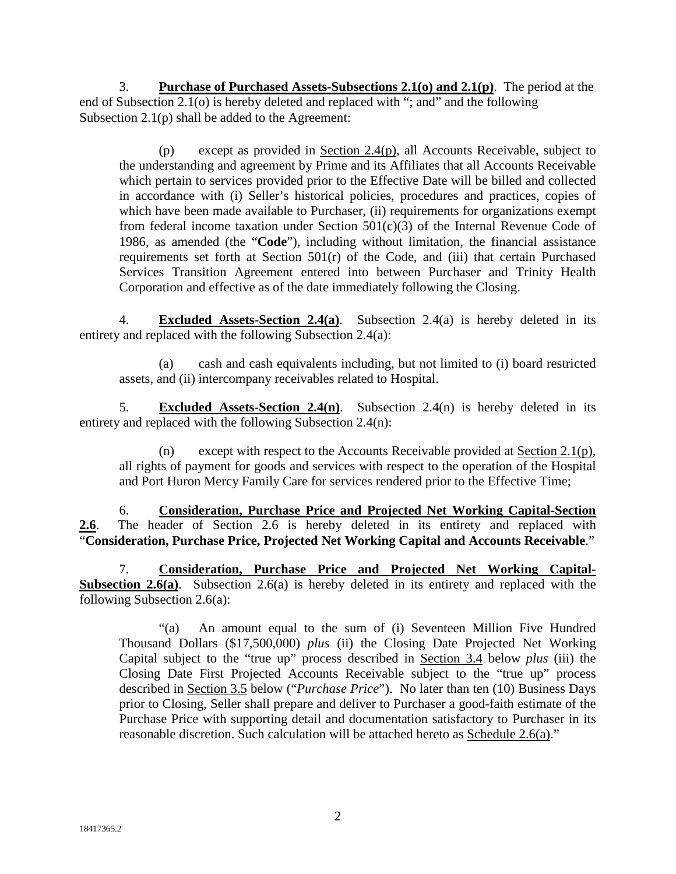3. **Purchase of Purchased Assets-Subsections 2.1(o) and 2.1(p)**. The period at the end of Subsection 2.1(o) is hereby deleted and replaced with "; and" and the following Subsection 2.1(p) shall be added to the Agreement:

(p) except as provided in Section 2.4(p), all Accounts Receivable, subject to the understanding and agreement by Prime and its Affiliates that all Accounts Receivable which pertain to services provided prior to the Effective Date will be billed and collected in accordance with (i) Seller's historical policies, procedures and practices, copies of which have been made available to Purchaser, (ii) requirements for organizations exempt from federal income taxation under Section  $501(c)(3)$  of the Internal Revenue Code of 1986, as amended (the "**Code**"), including without limitation, the financial assistance requirements set forth at Section 501(r) of the Code, and (iii) that certain Purchased Services Transition Agreement entered into between Purchaser and Trinity Health Corporation and effective as of the date immediately following the Closing.

4. **Excluded Assets-Section 2.4(a)**. Subsection 2.4(a) is hereby deleted in its entirety and replaced with the following Subsection 2.4(a):

(a) cash and cash equivalents including, but not limited to (i) board restricted assets, and (ii) intercompany receivables related to Hospital.

5. **Excluded Assets-Section 2.4(n)**. Subsection 2.4(n) is hereby deleted in its entirety and replaced with the following Subsection 2.4(n):

(n) except with respect to the Accounts Receivable provided at Section 2.1(p), all rights of payment for goods and services with respect to the operation of the Hospital and Port Huron Mercy Family Care for services rendered prior to the Effective Time;

6. **Consideration, Purchase Price and Projected Net Working Capital-Section 2.6**. The header of Section 2.6 is hereby deleted in its entirety and replaced with "**Consideration, Purchase Price, Projected Net Working Capital and Accounts Receivable**."

7. **Consideration, Purchase Price and Projected Net Working Capital-Subsection 2.6(a)**. Subsection 2.6(a) is hereby deleted in its entirety and replaced with the following Subsection 2.6(a):

"(a) An amount equal to the sum of (i) Seventeen Million Five Hundred Thousand Dollars (\$17,500,000) *plus* (ii) the Closing Date Projected Net Working Capital subject to the "true up" process described in Section 3.4 below *plus* (iii) the Closing Date First Projected Accounts Receivable subject to the "true up" process described in Section 3.5 below ("*Purchase Price*"). No later than ten (10) Business Days prior to Closing, Seller shall prepare and deliver to Purchaser a good-faith estimate of the Purchase Price with supporting detail and documentation satisfactory to Purchaser in its reasonable discretion. Such calculation will be attached hereto as Schedule 2.6(a)."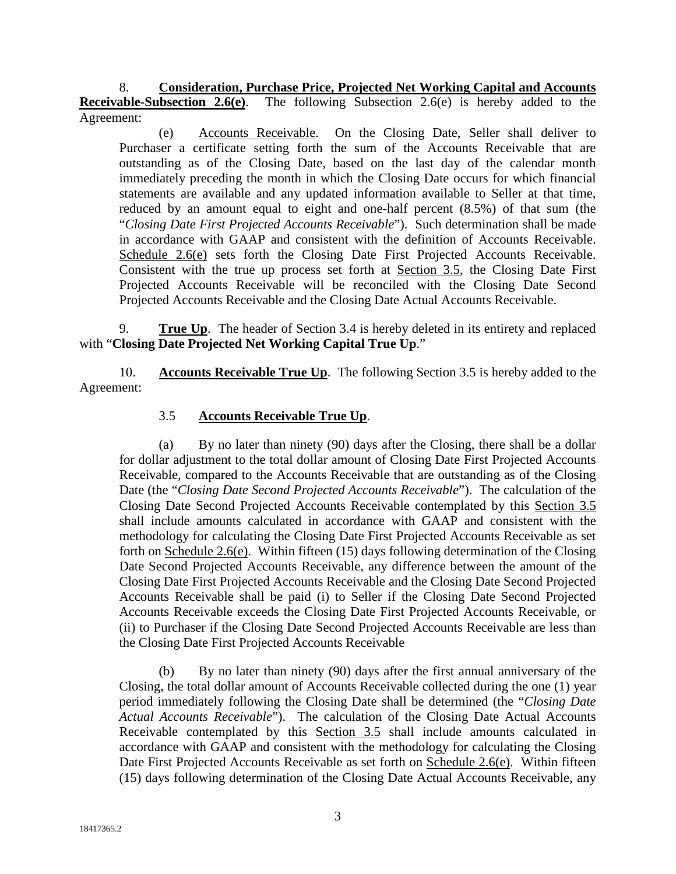8. **Consideration, Purchase Price, Projected Net Working Capital and Accounts Receivable-Subsection 2.6(e)**. The following Subsection 2.6(e) is hereby added to the Agreement:

(e) Accounts Receivable. On the Closing Date, Seller shall deliver to Purchaser a certificate setting forth the sum of the Accounts Receivable that are outstanding as of the Closing Date, based on the last day of the calendar month immediately preceding the month in which the Closing Date occurs for which financial statements are available and any updated information available to Seller at that time, reduced by an amount equal to eight and one-half percent (8.5%) of that sum (the "*Closing Date First Projected Accounts Receivable*"). Such determination shall be made in accordance with GAAP and consistent with the definition of Accounts Receivable. Schedule 2.6(e) sets forth the Closing Date First Projected Accounts Receivable. Consistent with the true up process set forth at Section 3.5, the Closing Date First Projected Accounts Receivable will be reconciled with the Closing Date Second Projected Accounts Receivable and the Closing Date Actual Accounts Receivable.

9. **True Up**. The header of Section 3.4 is hereby deleted in its entirety and replaced with "**Closing Date Projected Net Working Capital True Up**."

10. **Accounts Receivable True Up**. The following Section 3.5 is hereby added to the Agreement:

## 3.5 **Accounts Receivable True Up**.

(a) By no later than ninety (90) days after the Closing, there shall be a dollar for dollar adjustment to the total dollar amount of Closing Date First Projected Accounts Receivable, compared to the Accounts Receivable that are outstanding as of the Closing Date (the "*Closing Date Second Projected Accounts Receivable*"). The calculation of the Closing Date Second Projected Accounts Receivable contemplated by this Section 3.5 shall include amounts calculated in accordance with GAAP and consistent with the methodology for calculating the Closing Date First Projected Accounts Receivable as set forth on Schedule 2.6(e). Within fifteen (15) days following determination of the Closing Date Second Projected Accounts Receivable, any difference between the amount of the Closing Date First Projected Accounts Receivable and the Closing Date Second Projected Accounts Receivable shall be paid (i) to Seller if the Closing Date Second Projected Accounts Receivable exceeds the Closing Date First Projected Accounts Receivable, or (ii) to Purchaser if the Closing Date Second Projected Accounts Receivable are less than the Closing Date First Projected Accounts Receivable

(b) By no later than ninety (90) days after the first annual anniversary of the Closing, the total dollar amount of Accounts Receivable collected during the one (1) year period immediately following the Closing Date shall be determined (the "*Closing Date Actual Accounts Receivable*"). The calculation of the Closing Date Actual Accounts Receivable contemplated by this Section 3.5 shall include amounts calculated in accordance with GAAP and consistent with the methodology for calculating the Closing Date First Projected Accounts Receivable as set forth on Schedule 2.6(e). Within fifteen (15) days following determination of the Closing Date Actual Accounts Receivable, any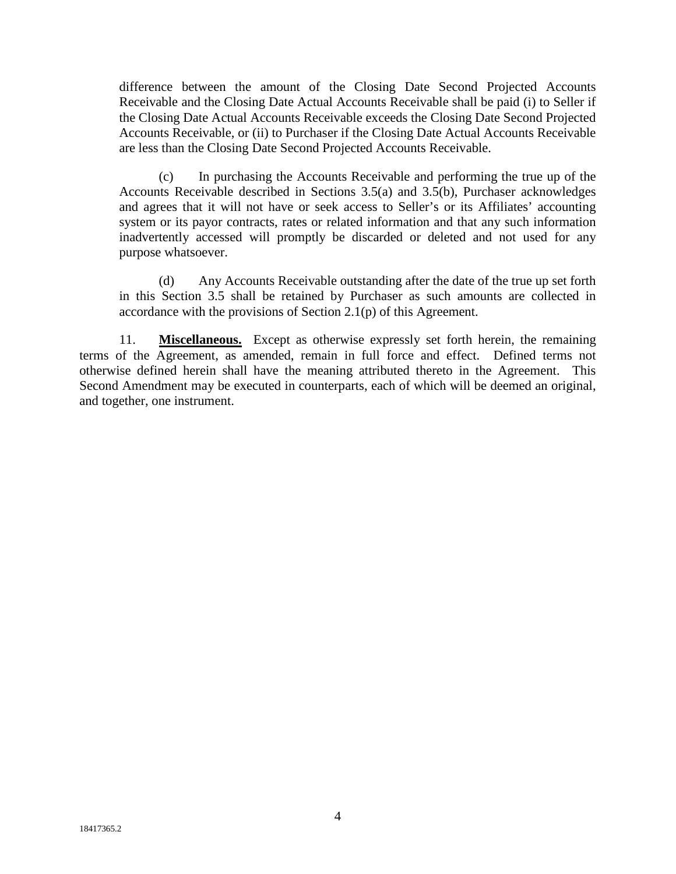difference between the amount of the Closing Date Second Projected Accounts Receivable and the Closing Date Actual Accounts Receivable shall be paid (i) to Seller if the Closing Date Actual Accounts Receivable exceeds the Closing Date Second Projected Accounts Receivable, or (ii) to Purchaser if the Closing Date Actual Accounts Receivable are less than the Closing Date Second Projected Accounts Receivable.

(c) In purchasing the Accounts Receivable and performing the true up of the Accounts Receivable described in Sections 3.5(a) and 3.5(b), Purchaser acknowledges and agrees that it will not have or seek access to Seller's or its Affiliates' accounting system or its payor contracts, rates or related information and that any such information inadvertently accessed will promptly be discarded or deleted and not used for any purpose whatsoever.

(d) Any Accounts Receivable outstanding after the date of the true up set forth in this Section 3.5 shall be retained by Purchaser as such amounts are collected in accordance with the provisions of Section 2.1(p) of this Agreement.

11. **Miscellaneous.** Except as otherwise expressly set forth herein, the remaining terms of the Agreement, as amended, remain in full force and effect. Defined terms not otherwise defined herein shall have the meaning attributed thereto in the Agreement. This Second Amendment may be executed in counterparts, each of which will be deemed an original, and together, one instrument.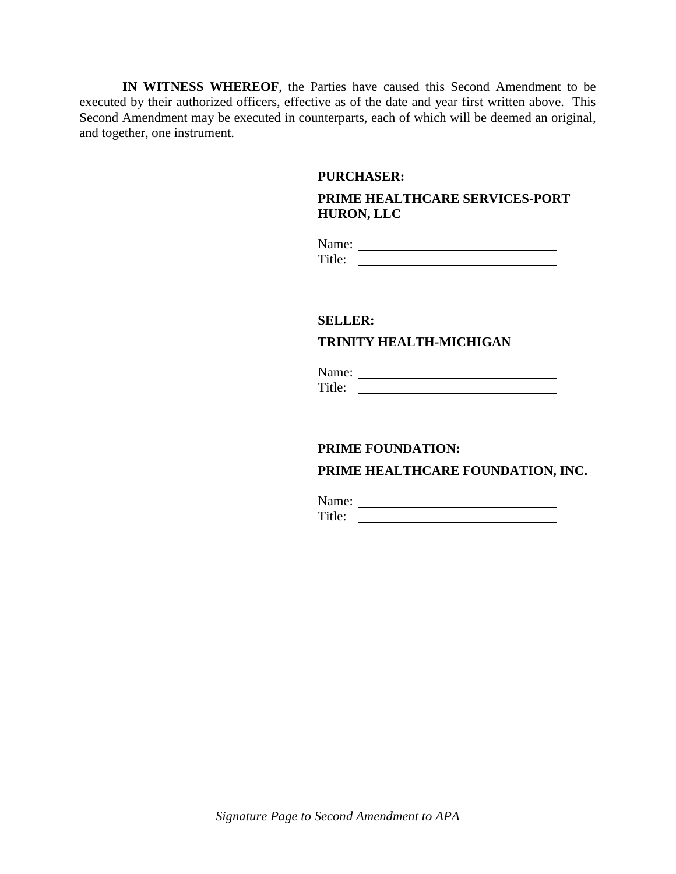**IN WITNESS WHEREOF**, the Parties have caused this Second Amendment to be executed by their authorized officers, effective as of the date and year first written above. This Second Amendment may be executed in counterparts, each of which will be deemed an original, and together, one instrument.

#### **PURCHASER:**

## **PRIME HEALTHCARE SERVICES-PORT HURON, LLC**

Name: Title:

#### **SELLER:**

## **TRINITY HEALTH-MICHIGAN**

Name: Title:

# **PRIME FOUNDATION:**

## **PRIME HEALTHCARE FOUNDATION, INC.**

Name: Name: Title: